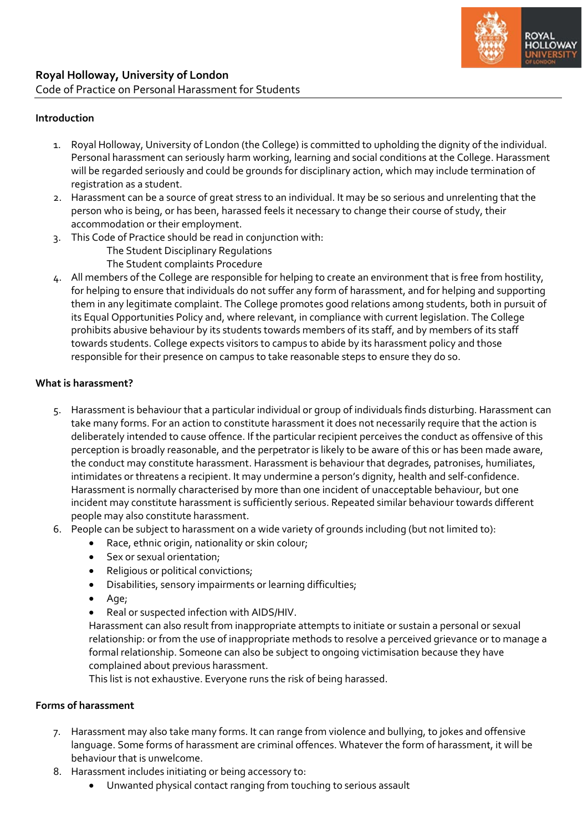

#### **Introduction**

- 1. Royal Holloway, University of London (the College) is committed to upholding the dignity of the individual. Personal harassment can seriously harm working, learning and social conditions at the College. Harassment will be regarded seriously and could be grounds for disciplinary action, which may include termination of registration as a student.
- 2. Harassment can be a source of great stress to an individual. It may be so serious and unrelenting that the person who is being, or has been, harassed feels it necessary to change their course of study, their accommodation or their employment.
- 3. This Code of Practice should be read in conjunction with: The Student Disciplinary Regulations The Student complaints Procedure
- 4. All members of the College are responsible for helping to create an environment that is free from hostility, for helping to ensure that individuals do not suffer any form of harassment, and for helping and supporting them in any legitimate complaint. The College promotes good relations among students, both in pursuit of its Equal Opportunities Policy and, where relevant, in compliance with current legislation. The College prohibits abusive behaviour by its students towards members of its staff, and by members of its staff towards students. College expects visitors to campus to abide by its harassment policy and those responsible for their presence on campus to take reasonable steps to ensure they do so.

### **What is harassment?**

- 5. Harassment is behaviour that a particular individual or group of individuals finds disturbing. Harassment can take many forms. For an action to constitute harassment it does not necessarily require that the action is deliberately intended to cause offence. If the particular recipient perceives the conduct as offensive of this perception is broadly reasonable, and the perpetrator is likely to be aware of this or has been made aware, the conduct may constitute harassment. Harassment is behaviour that degrades, patronises, humiliates, intimidates or threatens a recipient. It may undermine a person's dignity, health and self-confidence. Harassment is normally characterised by more than one incident of unacceptable behaviour, but one incident may constitute harassment is sufficiently serious. Repeated similar behaviour towards different people may also constitute harassment.
- 6. People can be subject to harassment on a wide variety of grounds including (but not limited to):
	- Race, ethnic origin, nationality or skin colour;
	- Sex or sexual orientation;
	- Religious or political convictions;
	- Disabilities, sensory impairments or learning difficulties;
	- Age;
	- Real or suspected infection with AIDS/HIV.

Harassment can also result from inappropriate attempts to initiate or sustain a personal or sexual relationship: or from the use of inappropriate methods to resolve a perceived grievance or to manage a formal relationship. Someone can also be subject to ongoing victimisation because they have complained about previous harassment.

This list is not exhaustive. Everyone runs the risk of being harassed.

### **Forms of harassment**

- 7. Harassment may also take many forms. It can range from violence and bullying, to jokes and offensive language. Some forms of harassment are criminal offences. Whatever the form of harassment, it will be behaviour that is unwelcome.
- 8. Harassment includes initiating or being accessory to:
	- Unwanted physical contact ranging from touching to serious assault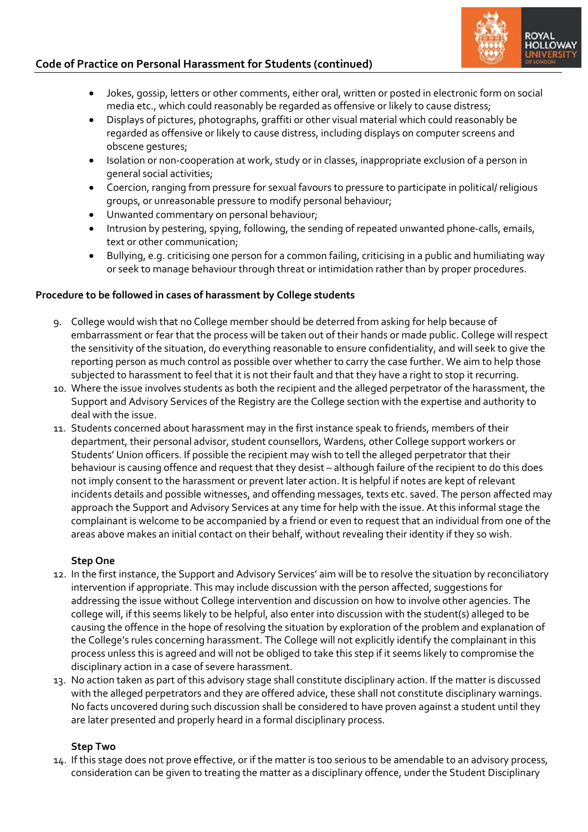# **Code of Practice on Personal Harassment for Students (continued)**



- Jokes, gossip, letters or other comments, either oral, written or posted in electronic form on social media etc., which could reasonably be regarded as offensive or likely to cause distress;
- Displays of pictures, photographs, graffiti or other visual material which could reasonably be regarded as offensive or likely to cause distress, including displays on computer screens and obscene gestures;
- Isolation or non-cooperation at work, study or in classes, inappropriate exclusion of a person in general social activities;
- Coercion, ranging from pressure for sexual favours to pressure to participate in political/ religious groups, or unreasonable pressure to modify personal behaviour;
- Unwanted commentary on personal behaviour;
- Intrusion by pestering, spying, following, the sending of repeated unwanted phone-calls, emails, text or other communication;
- Bullying, e.g. criticising one person for a common failing, criticising in a public and humiliating way or seek to manage behaviour through threat or intimidation rather than by proper procedures.

## **Procedure to be followed in cases of harassment by College students**

- 9. College would wish that no College member should be deterred from asking for help because of embarrassment or fear that the process will be taken out of their hands or made public. College will respect the sensitivity of the situation, do everything reasonable to ensure confidentiality, and will seek to give the reporting person as much control as possible over whether to carry the case further. We aim to help those subjected to harassment to feel that it is not their fault and that they have a right to stop it recurring.
- 10. Where the issue involves students as both the recipient and the alleged perpetrator of the harassment, the Support and Advisory Services of the Registry are the College section with the expertise and authority to deal with the issue.
- 11. Students concerned about harassment may in the first instance speak to friends, members of their department, their personal advisor, student counsellors, Wardens, other College support workers or Students' Union officers. If possible the recipient may wish to tell the alleged perpetrator that their behaviour is causing offence and request that they desist – although failure of the recipient to do this does not imply consent to the harassment or prevent later action. It is helpful if notes are kept of relevant incidents details and possible witnesses, and offending messages, texts etc. saved. The person affected may approach the Support and Advisory Services at any time for help with the issue. At this informal stage the complainant is welcome to be accompanied by a friend or even to request that an individual from one of the areas above makes an initial contact on their behalf, without revealing their identity if they so wish.

## **Step One**

- 12. In the first instance, the Support and Advisory Services' aim will be to resolve the situation by reconciliatory intervention if appropriate. This may include discussion with the person affected, suggestions for addressing the issue without College intervention and discussion on how to involve other agencies. The college will, if this seems likely to be helpful, also enter into discussion with the student(s) alleged to be causing the offence in the hope of resolving the situation by exploration of the problem and explanation of the College's rules concerning harassment. The College will not explicitly identify the complainant in this process unless this is agreed and will not be obliged to take this step if it seems likely to compromise the disciplinary action in a case of severe harassment.
- 13. No action taken as part of this advisory stage shall constitute disciplinary action. If the matter is discussed with the alleged perpetrators and they are offered advice, these shall not constitute disciplinary warnings. No facts uncovered during such discussion shall be considered to have proven against a student until they are later presented and properly heard in a formal disciplinary process.

## **Step Two**

14. If this stage does not prove effective, or if the matter is too serious to be amendable to an advisory process, consideration can be given to treating the matter as a disciplinary offence, under the Student Disciplinary